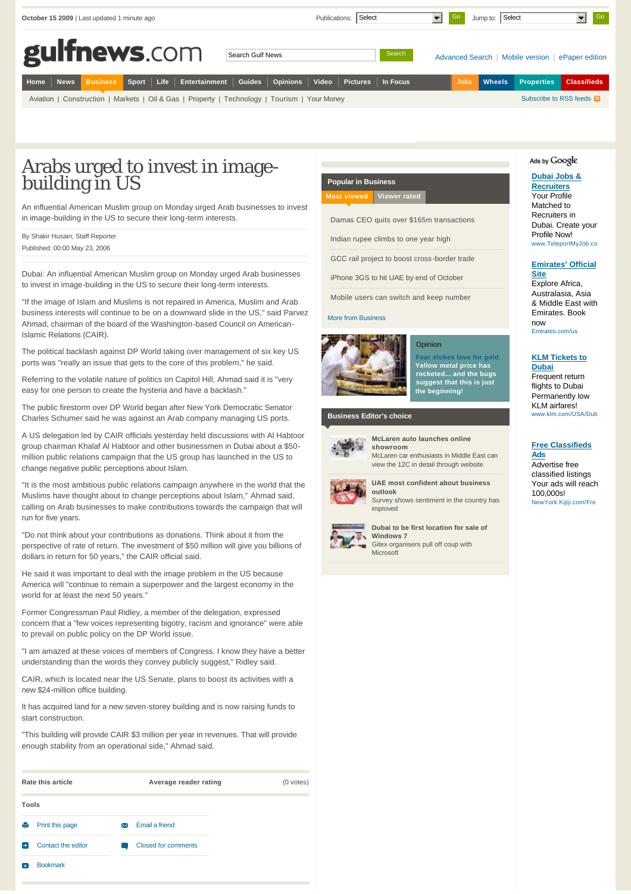|      |                                                                                                 | October 15 2009   Last updated 1 minute ago |  |  |                                                                                              |  |  | Publications: | Select |          | $\blacksquare$ | Go          | Jump to: Select |                   | Go                              |
|------|-------------------------------------------------------------------------------------------------|---------------------------------------------|--|--|----------------------------------------------------------------------------------------------|--|--|---------------|--------|----------|----------------|-------------|-----------------|-------------------|---------------------------------|
|      | gulfnews.com<br>Search<br>Search Gulf News<br>Advanced Search   Mobile version   ePaper edition |                                             |  |  |                                                                                              |  |  |               |        |          |                |             |                 |                   |                                 |
| Home |                                                                                                 |                                             |  |  | Rews Business Sport Life Entertainment Guides Opinions Video Pictures                        |  |  |               |        | In Focus |                | <b>Jobs</b> | Wheels          | <b>Properties</b> | <b>Classifieds</b>              |
|      |                                                                                                 |                                             |  |  | Aviation   Construction   Markets   Oil & Gas   Property   Technology   Tourism   Your Money |  |  |               |        |          |                |             |                 |                   | Subscribe to RSS feeds <b>N</b> |

## Arabs urged to invest in imagebuilding in US

An influential American Muslim group on Monday urged Arab businesses to invest in image-building in the US to secure their long-term interests.

| By Shakir Husain, Staff Reporter |
|----------------------------------|
| Published: 00:00 May 23, 2006    |

Dubai: An influential American Muslim group on Monday urged Arab businesses to invest in image-building in the US to secure their long-term interests.

"If the image of Islam and Muslims is not repaired in America, Muslim and Arab business interests will continue to be on a downward slide in the US," said Parvez Ahmad, chairman of the board of the Washington-based Council on American-Islamic Relations (CAIR).

The political backlash against DP World taking over management of six key US ports was "really an issue that gets to the core of this problem," he said.

Referring to the volatile nature of politics on Capitol Hill, Ahmad said it is "very easy for one person to create the hysteria and have a backlash."

The public firestorm over DP World began after New York Democratic Senator Charles Schumer said he was against an Arab company managing US ports.

A US delegation led by CAIR officials yesterday held discussions with Al Habtoor group chairman Khalaf Al Habtoor and other businessmen in Dubai about a \$50 million public relations campaign that the US group has launched in the US to change negative public perceptions about Islam.

"It is the most ambitious public relations campaign anywhere in the world that the Muslims have thought about to change perceptions about Islam," Ahmad said, calling on Arab businesses to make contributions towards the campaign that will run for five years.

"Do not think about your contributions as donations. Think about it from the perspective of rate of return. The investment of \$50 million will give you billions of dollars in return for 50 years," the CAIR official said.

He said it was important to deal with the image problem in the US because America will "continue to remain a superpower and the largest economy in the world for at least the next 50 years."

Former Congressman Paul Ridley, a member of the delegation, expressed concern that a "few voices representing bigotry, racism and ignorance" were able to prevail on public policy on the DP World issue.

"I am amazed at these voices of members of Congress. I know they have a better understanding than the words they convey publicly suggest," Ridley said.

CAIR, which is located near the US Senate, plans to boost its activities with a new \$24-million office building.

It has acquired land for a new seven-storey building and is now raising funds to start construction.

"This building will provide CAIR \$3 million per year in revenues. That will provide enough stability from an operational side," Ahmad said.

|          | Rate this article  | Average reader rating      | (0 votes) |  |  |
|----------|--------------------|----------------------------|-----------|--|--|
| Tools    |                    |                            |           |  |  |
| е        | Print this page    | Email a friend<br>✕        |           |  |  |
| Ð        | Contact the editor | <b>Closed for comments</b> |           |  |  |
| <b>J</b> | <b>Bookmark</b>    |                            |           |  |  |

### **Popular in Business [Most viewed](http://gulfnews.com/business/investment/arabs-urged-to-invest-in-image-building-in-us-1.237970#7102512523929171) [Viewer rated](http://gulfnews.com/business/investment/arabs-urged-to-invest-in-image-building-in-us-1.237970#7102512523929172)**

[Damas CEO quits over \\$165m transaction](http://gulfnews.com/business/general/damas-ceo-quits-over-165m-transactions-1.513836)s

[Indian rupee climbs to one year hig](http://gulfnews.com/business/markets/indian-rupee-climbs-to-one-year-high-as-optimism-grows-1.514413)h

[GCC rail project to boost cross-border trad](http://gulfnews.com/business/gulf-rail-projects-could-exceed-60b-1.513890)e

[iPhone 3GS to hit UAE by end of Octobe](http://gulfnews.com/business/telecoms/iphone-3gs-to-reach-uae-by-end-of-october-1.513075)r

[Mobile users can switch and keep numbe](http://gulfnews.com/business/telecoms/subscribers-will-be-able-to-switch-telecom-providers-1.514301)r

#### [More from Business](http://gulfnews.com/business)



**[Opinion](http://gulfnews.com/business/opinion) [Fear stokes love for gold](http://gulfnews.com/business/opinion/fear-and-worry-stoke-love-for-gold-1.514192) Yellow metal price has rocketed... and the bugs suggest that this is just the beginning!**

**Business Editor's choice**



#### **[McLaren auto launches online](http://gulfnews.com/business/technology/mclaren-auto-launches-an-online-showroom-for-mideast-fans-1.514821) showroom**

McLaren car enthusiasts in Middle East can view the 12C in detail through website



#### **[UAE most confident about business](http://gulfnews.com/business/banking/uae-one-of-three-most-confident-countries-about-business-outlook-1.514723)**

**outlook** Survey shows sentiment in the country has improved

**[Dubai to be first location for sale o](http://gulfnews.com/business/technology/dubai-to-be-first-for-windows-7-sale-1.514241)f Windows 7** s. Gitex organisers pull off coup with Microsoft

#### Ads by Google

#### **Dubai Jobs & Recruiters** Your Profile Matched to Recruiters in Dubai. Create your Profile Now! www.TeleportMyJob.co

#### **Emirates' Official Site**

Explore Africa, Australasia, Asia & Middle East with Emirates. Book now Emirates.com/us

#### **KLM Tickets to Dubai**

Frequent return flights to Dubai Permanently low KLM airfares! www.klm.com/USA/Dub

#### **Free Classifieds**

**Ads** Advertise free classified listings Your ads will reach 100,000s! NewYork.Kijiji.com/Fre